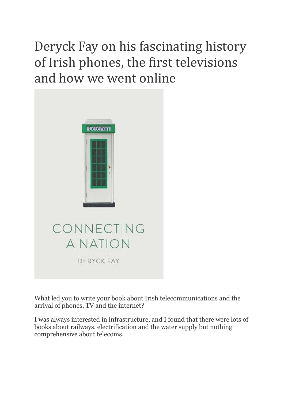## Deryck Fay on his fascinating history of Irish phones, the first televisions and how we went online



What led you to write your book about Irish telecommunications and the arrival of phones, TV and the internet?

I was always interested in infrastructure, and I found that there were lots of books about railways, electrification and the water supply but nothing comprehensive about telecoms.